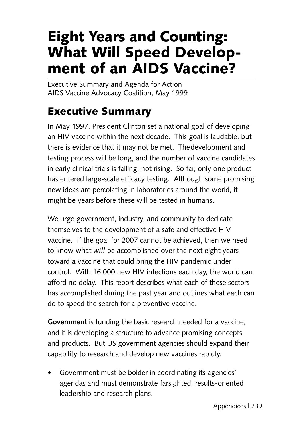# **Eight Years and Counting: What Will Speed Development of an AIDS Vaccine?**

Executive Summary and Agenda for Action AIDS Vaccine Advocacy Coalition, May 1999

### **Executive Summary**

In May 1997, President Clinton set a national goal of developing an HIV vaccine within the next decade. This goal is laudable, but there is evidence that it may not be met. Thedevelopment and testing process will be long, and the number of vaccine candidates in early clinical trials is falling, not rising. So far, only one product has entered large-scale efficacy testing. Although some promising new ideas are percolating in laboratories around the world, it might be years before these will be tested in humans.

We urge government, industry, and community to dedicate themselves to the development of a safe and effective HIV vaccine. If the goal for 2007 cannot be achieved, then we need to know what *will* be accomplished over the next eight years toward a vaccine that could bring the HIV pandemic under control. With 16,000 new HIV infections each day, the world can afford no delay. This report describes what each of these sectors has accomplished during the past year and outlines what each can do to speed the search for a preventive vaccine.

**Government** is funding the basic research needed for a vaccine, and it is developing a structure to advance promising concepts and products. But US government agencies should expand their capability to research and develop new vaccines rapidly.

• Government must be bolder in coordinating its agencies' agendas and must demonstrate farsighted, results-oriented leadership and research plans.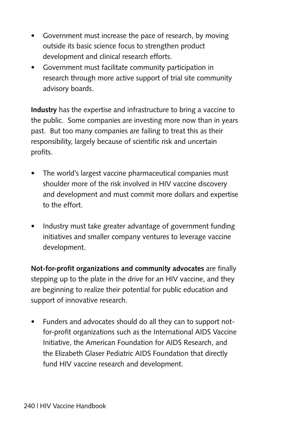- Government must increase the pace of research, by moving outside its basic science focus to strengthen product development and clinical research efforts.
- Government must facilitate community participation in research through more active support of trial site community advisory boards.

**Industry** has the expertise and infrastructure to bring a vaccine to the public. Some companies are investing more now than in years past. But too many companies are failing to treat this as their responsibility, largely because of scientific risk and uncertain profits.

- The world's largest vaccine pharmaceutical companies must shoulder more of the risk involved in HIV vaccine discovery and development and must commit more dollars and expertise to the effort.
- Industry must take greater advantage of government funding initiatives and smaller company ventures to leverage vaccine development.

**Not-for-profit organizations and community advocates** are finally stepping up to the plate in the drive for an HIV vaccine, and they are beginning to realize their potential for public education and support of innovative research.

• Funders and advocates should do all they can to support notfor-profit organizations such as the International AIDS Vaccine Initiative, the American Foundation for AIDS Research, and the Elizabeth Glaser Pediatric AIDS Foundation that directly fund HIV vaccine research and development.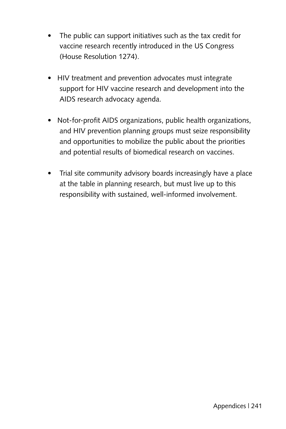- The public can support initiatives such as the tax credit for vaccine research recently introduced in the US Congress (House Resolution 1274).
- HIV treatment and prevention advocates must integrate support for HIV vaccine research and development into the AIDS research advocacy agenda.
- Not-for-profit AIDS organizations, public health organizations, and HIV prevention planning groups must seize responsibility and opportunities to mobilize the public about the priorities and potential results of biomedical research on vaccines.
- Trial site community advisory boards increasingly have a place at the table in planning research, but must live up to this responsibility with sustained, well-informed involvement.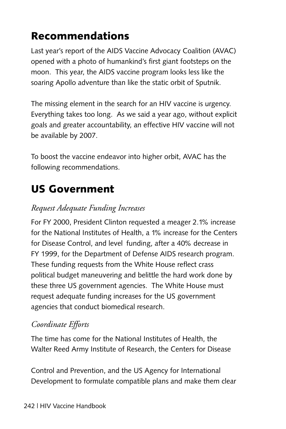# **Recommendations**

Last year's report of the AIDS Vaccine Advocacy Coalition (AVAC) opened with a photo of humankind's first giant footsteps on the moon. This year, the AIDS vaccine program looks less like the soaring Apollo adventure than like the static orbit of Sputnik.

The missing element in the search for an HIV vaccine is urgency. Everything takes too long. As we said a year ago, without explicit goals and greater accountability, an effective HIV vaccine will not be available by 2007.

To boost the vaccine endeavor into higher orbit, AVAC has the following recommendations.

# **US Government**

### *Request Adequate Funding Increases*

For FY 2000, President Clinton requested a meager 2.1% increase for the National Institutes of Health, a 1% increase for the Centers for Disease Control, and level funding, after a 40% decrease in FY 1999, for the Department of Defense AIDS research program. These funding requests from the White House reflect crass political budget maneuvering and belittle the hard work done by these three US government agencies. The White House must request adequate funding increases for the US government agencies that conduct biomedical research.

### *Coordinate Efforts*

The time has come for the National Institutes of Health, the Walter Reed Army Institute of Research, the Centers for Disease

Control and Prevention, and the US Agency for International Development to formulate compatible plans and make them clear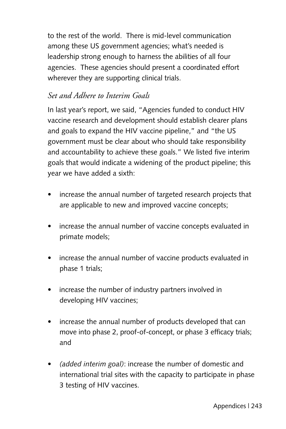to the rest of the world. There is mid-level communication among these US government agencies; what's needed is leadership strong enough to harness the abilities of all four agencies. These agencies should present a coordinated effort wherever they are supporting clinical trials.

#### *Set and Adhere to Interim Goals*

In last year's report, we said, "Agencies funded to conduct HIV vaccine research and development should establish clearer plans and goals to expand the HIV vaccine pipeline," and "the US government must be clear about who should take responsibility and accountability to achieve these goals." We listed five interim goals that would indicate a widening of the product pipeline; this year we have added a sixth:

- increase the annual number of targeted research projects that are applicable to new and improved vaccine concepts;
- increase the annual number of vaccine concepts evaluated in primate models;
- increase the annual number of vaccine products evaluated in phase 1 trials;
- increase the number of industry partners involved in developing HIV vaccines;
- increase the annual number of products developed that can move into phase 2, proof-of-concept, or phase 3 efficacy trials; and
- *(added interim goal)*: increase the number of domestic and international trial sites with the capacity to participate in phase 3 testing of HIV vaccines.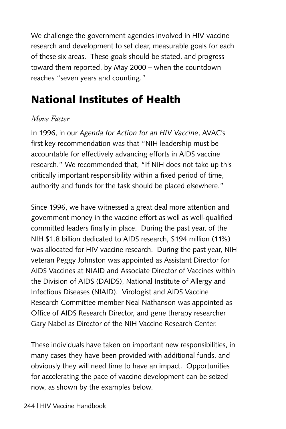We challenge the government agencies involved in HIV vaccine research and development to set clear, measurable goals for each of these six areas. These goals should be stated, and progress toward them reported, by May 2000 – when the countdown reaches "seven years and counting."

# **National Institutes of Health**

#### *Move Faster*

In 1996, in our *Agenda for Action for an HIV Vaccine*, AVAC's first key recommendation was that "NIH leadership must be accountable for effectively advancing efforts in AIDS vaccine research." We recommended that, "If NIH does not take up this critically important responsibility within a fixed period of time, authority and funds for the task should be placed elsewhere."

Since 1996, we have witnessed a great deal more attention and government money in the vaccine effort as well as well-qualified committed leaders finally in place. During the past year, of the NIH \$1.8 billion dedicated to AIDS research, \$194 million (11%) was allocated for HIV vaccine research. During the past year, NIH veteran Peggy Johnston was appointed as Assistant Director for AIDS Vaccines at NIAID and Associate Director of Vaccines within the Division of AIDS (DAIDS), National Institute of Allergy and Infectious Diseases (NIAID). Virologist and AIDS Vaccine Research Committee member Neal Nathanson was appointed as Office of AIDS Research Director, and gene therapy researcher Gary Nabel as Director of the NIH Vaccine Research Center.

These individuals have taken on important new responsibilities, in many cases they have been provided with additional funds, and obviously they will need time to have an impact. Opportunities for accelerating the pace of vaccine development can be seized now, as shown by the examples below.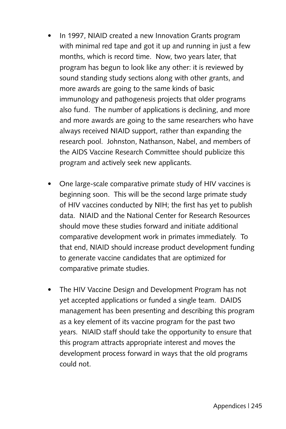- In 1997, NIAID created a new Innovation Grants program with minimal red tape and got it up and running in just a few months, which is record time. Now, two years later, that program has begun to look like any other: it is reviewed by sound standing study sections along with other grants, and more awards are going to the same kinds of basic immunology and pathogenesis projects that older programs also fund. The number of applications is declining, and more and more awards are going to the same researchers who have always received NIAID support, rather than expanding the research pool. Johnston, Nathanson, Nabel, and members of the AIDS Vaccine Research Committee should publicize this program and actively seek new applicants.
- One large-scale comparative primate study of HIV vaccines is beginning soon. This will be the second large primate study of HIV vaccines conducted by NIH; the first has yet to publish data. NIAID and the National Center for Research Resources should move these studies forward and initiate additional comparative development work in primates immediately. To that end, NIAID should increase product development funding to generate vaccine candidates that are optimized for comparative primate studies.
- The HIV Vaccine Design and Development Program has not yet accepted applications or funded a single team. DAIDS management has been presenting and describing this program as a key element of its vaccine program for the past two years. NIAID staff should take the opportunity to ensure that this program attracts appropriate interest and moves the development process forward in ways that the old programs could not.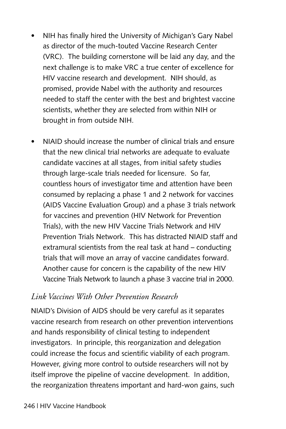- NIH has finally hired the University of Michigan's Gary Nabel as director of the much-touted Vaccine Research Center (VRC). The building cornerstone will be laid any day, and the next challenge is to make VRC a true center of excellence for HIV vaccine research and development. NIH should, as promised, provide Nabel with the authority and resources needed to staff the center with the best and brightest vaccine scientists, whether they are selected from within NIH or brought in from outside NIH.
- NIAID should increase the number of clinical trials and ensure that the new clinical trial networks are adequate to evaluate candidate vaccines at all stages, from initial safety studies through large-scale trials needed for licensure. So far, countless hours of investigator time and attention have been consumed by replacing a phase 1 and 2 network for vaccines (AIDS Vaccine Evaluation Group) and a phase 3 trials network for vaccines and prevention (HIV Network for Prevention Trials), with the new HIV Vaccine Trials Network and HIV Prevention Trials Network. This has distracted NIAID staff and extramural scientists from the real task at hand – conducting trials that will move an array of vaccine candidates forward. Another cause for concern is the capability of the new HIV Vaccine Trials Network to launch a phase 3 vaccine trial in 2000.

#### *Link Vaccines With Other Prevention Research*

NIAID's Division of AIDS should be very careful as it separates vaccine research from research on other prevention interventions and hands responsibility of clinical testing to independent investigators. In principle, this reorganization and delegation could increase the focus and scientific viability of each program. However, giving more control to outside researchers will not by itself improve the pipeline of vaccine development. In addition, the reorganization threatens important and hard-won gains, such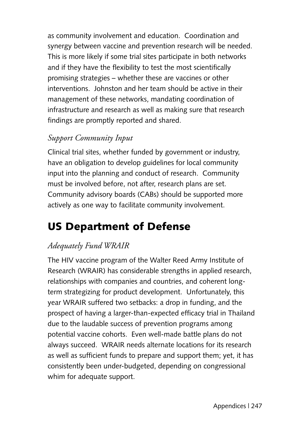as community involvement and education. Coordination and synergy between vaccine and prevention research will be needed. This is more likely if some trial sites participate in both networks and if they have the flexibility to test the most scientifically promising strategies – whether these are vaccines or other interventions. Johnston and her team should be active in their management of these networks, mandating coordination of infrastructure and research as well as making sure that research findings are promptly reported and shared.

### *Support Community Input*

Clinical trial sites, whether funded by government or industry, have an obligation to develop guidelines for local community input into the planning and conduct of research. Community must be involved before, not after, research plans are set. Community advisory boards (CABs) should be supported more actively as one way to facilitate community involvement.

# **US Department of Defense**

### *Adequately Fund WRAIR*

The HIV vaccine program of the Walter Reed Army Institute of Research (WRAIR) has considerable strengths in applied research, relationships with companies and countries, and coherent longterm strategizing for product development. Unfortunately, this year WRAIR suffered two setbacks: a drop in funding, and the prospect of having a larger-than-expected efficacy trial in Thailand due to the laudable success of prevention programs among potential vaccine cohorts. Even well-made battle plans do not always succeed. WRAIR needs alternate locations for its research as well as sufficient funds to prepare and support them; yet, it has consistently been under-budgeted, depending on congressional whim for adequate support.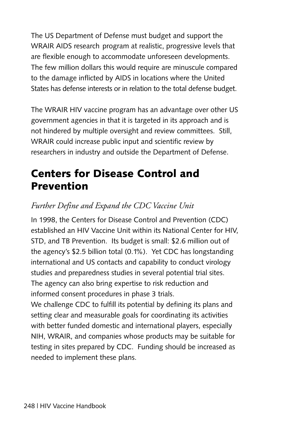The US Department of Defense must budget and support the WRAIR AIDS research program at realistic, progressive levels that are flexible enough to accommodate unforeseen developments. The few million dollars this would require are minuscule compared to the damage inflicted by AIDS in locations where the United States has defense interests or in relation to the total defense budget.

The WRAIR HIV vaccine program has an advantage over other US government agencies in that it is targeted in its approach and is not hindered by multiple oversight and review committees. Still, WRAIR could increase public input and scientific review by researchers in industry and outside the Department of Defense.

# **Centers for Disease Control and Prevention**

### *Further Define and Expand the CDC Vaccine Unit*

In 1998, the Centers for Disease Control and Prevention (CDC) established an HIV Vaccine Unit within its National Center for HIV, STD, and TB Prevention. Its budget is small: \$2.6 million out of the agency's \$2.5 billion total (0.1%). Yet CDC has longstanding international and US contacts and capability to conduct virology studies and preparedness studies in several potential trial sites. The agency can also bring expertise to risk reduction and informed consent procedures in phase 3 trials.

We challenge CDC to fulfill its potential by defining its plans and setting clear and measurable goals for coordinating its activities with better funded domestic and international players, especially NIH, WRAIR, and companies whose products may be suitable for testing in sites prepared by CDC. Funding should be increased as needed to implement these plans.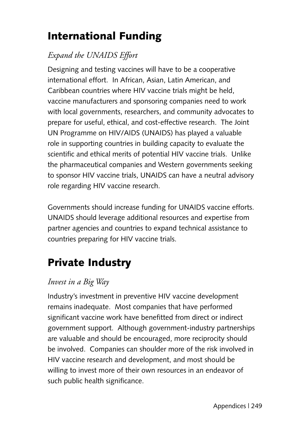# **International Funding**

### *Expand the UNAIDS Effort*

Designing and testing vaccines will have to be a cooperative international effort. In African, Asian, Latin American, and Caribbean countries where HIV vaccine trials might be held, vaccine manufacturers and sponsoring companies need to work with local governments, researchers, and community advocates to prepare for useful, ethical, and cost-effective research. The Joint UN Programme on HIV/AIDS (UNAIDS) has played a valuable role in supporting countries in building capacity to evaluate the scientific and ethical merits of potential HIV vaccine trials. Unlike the pharmaceutical companies and Western governments seeking to sponsor HIV vaccine trials, UNAIDS can have a neutral advisory role regarding HIV vaccine research.

Governments should increase funding for UNAIDS vaccine efforts. UNAIDS should leverage additional resources and expertise from partner agencies and countries to expand technical assistance to countries preparing for HIV vaccine trials.

# **Private Industry**

#### *Invest in a Big Way*

Industry's investment in preventive HIV vaccine development remains inadequate. Most companies that have performed significant vaccine work have benefitted from direct or indirect government support. Although government-industry partnerships are valuable and should be encouraged, more reciprocity should be involved. Companies can shoulder more of the risk involved in HIV vaccine research and development, and most should be willing to invest more of their own resources in an endeavor of such public health significance.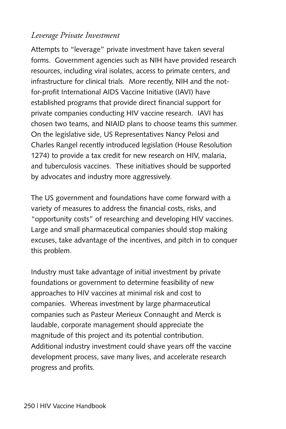#### *Leverage Private Investment*

Attempts to "leverage" private investment have taken several forms. Government agencies such as NIH have provided research resources, including viral isolates, access to primate centers, and infrastructure for clinical trials. More recently, NIH and the notfor-profit International AIDS Vaccine Initiative (IAVI) have established programs that provide direct financial support for private companies conducting HIV vaccine research. IAVI has chosen two teams, and NIAID plans to choose teams this summer. On the legislative side, US Representatives Nancy Pelosi and Charles Rangel recently introduced legislation (House Resolution 1274) to provide a tax credit for new research on HIV, malaria, and tuberculosis vaccines. These initiatives should be supported by advocates and industry more aggressively.

The US government and foundations have come forward with a variety of measures to address the financial costs, risks, and "opportunity costs" of researching and developing HIV vaccines. Large and small pharmaceutical companies should stop making excuses, take advantage of the incentives, and pitch in to conquer this problem.

Industry must take advantage of initial investment by private foundations or government to determine feasibility of new approaches to HIV vaccines at minimal risk and cost to companies. Whereas investment by large pharmaceutical companies such as Pasteur Merieux Connaught and Merck is laudable, corporate management should appreciate the magnitude of this project and its potential contribution. Additional industry investment could shave years off the vaccine development process, save many lives, and accelerate research progress and profits.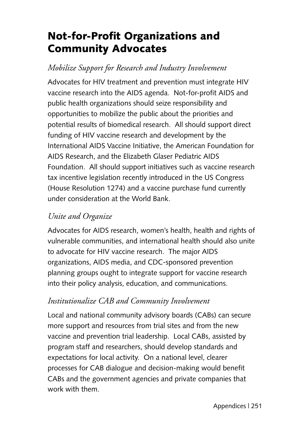# **Not-for-Profit Organizations and Community Advocates**

### *Mobilize Support for Research and Industry Involvement*

Advocates for HIV treatment and prevention must integrate HIV vaccine research into the AIDS agenda. Not-for-profit AIDS and public health organizations should seize responsibility and opportunities to mobilize the public about the priorities and potential results of biomedical research. All should support direct funding of HIV vaccine research and development by the International AIDS Vaccine Initiative, the American Foundation for AIDS Research, and the Elizabeth Glaser Pediatric AIDS Foundation. All should support initiatives such as vaccine research tax incentive legislation recently introduced in the US Congress (House Resolution 1274) and a vaccine purchase fund currently under consideration at the World Bank.

### *Unite and Organize*

Advocates for AIDS research, women's health, health and rights of vulnerable communities, and international health should also unite to advocate for HIV vaccine research. The major AIDS organizations, AIDS media, and CDC-sponsored prevention planning groups ought to integrate support for vaccine research into their policy analysis, education, and communications.

#### *Institutionalize CAB and Community Involvement*

Local and national community advisory boards (CABs) can secure more support and resources from trial sites and from the new vaccine and prevention trial leadership. Local CABs, assisted by program staff and researchers, should develop standards and expectations for local activity. On a national level, clearer processes for CAB dialogue and decision-making would benefit CABs and the government agencies and private companies that work with them.